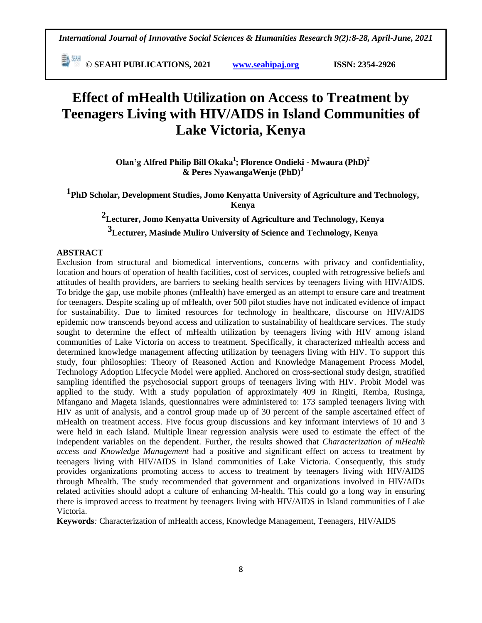**E**  $^{\text{5M}}$  © SEAHI PUBLICATIONS, 2021 *www.seahipaj.org* **ISSN: 2354-2926** 

# **Effect of mHealth Utilization on Access to Treatment by Teenagers Living with HIV/AIDS in Island Communities of Lake Victoria, Kenya**

**Olan'g Alfred Philip Bill Okaka<sup>1</sup> ; Florence Ondieki - Mwaura (PhD)<sup>2</sup> & Peres NyawangaWenje (PhD)<sup>3</sup>**

**1PhD Scholar, Development Studies, Jomo Kenyatta University of Agriculture and Technology, Kenya**

**2Lecturer, Jomo Kenyatta University of Agriculture and Technology, Kenya 3Lecturer, Masinde Muliro University of Science and Technology, Kenya**

#### **ABSTRACT**

Exclusion from structural and biomedical interventions, concerns with privacy and confidentiality, location and hours of operation of health facilities, cost of services, coupled with retrogressive beliefs and attitudes of health providers, are barriers to seeking health services by teenagers living with HIV/AIDS. To bridge the gap, use mobile phones (mHealth) have emerged as an attempt to ensure care and treatment for teenagers. Despite scaling up of mHealth, over 500 pilot studies have not indicated evidence of impact for sustainability. Due to limited resources for technology in healthcare, discourse on HIV/AIDS epidemic now transcends beyond access and utilization to sustainability of healthcare services. The study sought to determine the effect of mHealth utilization by teenagers living with HIV among island communities of Lake Victoria on access to treatment. Specifically, it characterized mHealth access and determined knowledge management affecting utilization by teenagers living with HIV. To support this study, four philosophies: Theory of Reasoned Action and Knowledge Management Process Model, Technology Adoption Lifecycle Model were applied. Anchored on cross-sectional study design, stratified sampling identified the psychosocial support groups of teenagers living with HIV. Probit Model was applied to the study. With a study population of approximately 409 in Ringiti, Remba, Rusinga, Mfangano and Mageta islands, questionnaires were administered to: 173 sampled teenagers living with HIV as unit of analysis, and a control group made up of 30 percent of the sample ascertained effect of mHealth on treatment access. Five focus group discussions and key informant interviews of 10 and 3 were held in each Island. Multiple linear regression analysis were used to estimate the effect of the independent variables on the dependent. Further, the results showed that *Characterization of mHealth access and Knowledge Management* had a positive and significant effect on access to treatment by teenagers living with HIV/AIDS in Island communities of Lake Victoria. Consequently, this study provides organizations promoting access to access to treatment by teenagers living with HIV/AIDS through Mhealth. The study recommended that government and organizations involved in HIV/AIDs related activities should adopt a culture of enhancing M-health. This could go a long way in ensuring there is improved access to treatment by teenagers living with HIV/AIDS in Island communities of Lake Victoria.

**Keywords***:* Characterization of mHealth access, Knowledge Management, Teenagers, HIV/AIDS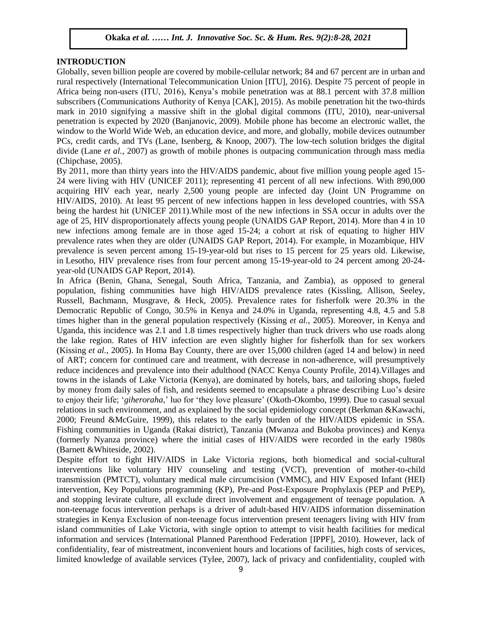#### **INTRODUCTION**

Globally, seven billion people are covered by mobile-cellular network; 84 and 67 percent are in urban and expectively (International Telecommunication Union [ITU], 2016). Despite 75 percent of people in union people in Africa being non-users (ITU, 2016), Kenya"s mobile penetration was at 88.1 percent with 37.8 million subscribers (Communications Authority of Kenya [CAK], 2015). As mobile penetration hit the two-thirds mark in 2010 signifying a massive shift in the global digital commons (ITU, 2010), near-universal penetration is expected by 2020 (Banjanovic, 2009). Mobile phone has become an electronic wallet, the window to the World Wide Web, an education device, and more, and globally, mobile devices outnumber PCs, credit cards, and TVs (Lane, Isenberg, & Knoop, 2007). The low-tech solution bridges the digital divide (Lane *et al.*, 2007) as growth of mobile phones is outpacing communication through mass media (Chipchase, 2005).  $\frac{L_{\text{max}}}{L_{\text{max}}}$  . The set of the Society and Society Society Society Society Society Society Society Society Society Society Society Society Society Society Society Society Society Society Society Society Society Soc

By 2011, more than thirty years into the HIV/AIDS pandemic, about five million young people aged 15- 24 were living with HIV (UNICEF 2011); representing 41 percent of all new infections. With 890,000 acquiring HIV each year, nearly 2,500 young people are infected day (Joint UN Programme on exparing Trivistical year, nearly 2,600 young people are infected any count of the regularities of HU/AIDS, 2010). At least 95 percent of new infections happen in less developed countries, with SSA being the hardest hit (UNICEF 2011).While most of the new infections in SSA occur in adults over the age of 25, HIV disproportionately affects young people (UNAIDS GAP Report, 2014). More than 4 in 10 new infections among female are in those aged 15-24; a cohort at risk of equating to higher HIV prevalence rates when they are older (UNAIDS GAP Report, 2014). For example, in Mozambique, HIV prevalence is seven percent among 15-19-year-old but rises to 15 percent for 25 years old. Likewise, in Lesotho, HIV prevalence rises from four percent among 15-19-year-old to 24 percent among 20-24 year-old (UNAIDS GAP Report, 2014).

In Africa (Benin, Ghana, Senegal, South Africa, Tanzania, and Zambia), as opposed to general population, fishing communities have high HIV/AIDS prevalence rates (Kissling, Allison, Seeley, Russell, Bachmann, Musgrave, & Heck, 2005). Prevalence rates for fisherfolk were 20.3% in the Democratic Republic of Congo, 30.5% in Kenya and 24.0% in Uganda, representing 4.8, 4.5 and 5.8 times higher than in the general population respectively (Kissing *et al.*, 2005). Moreover, in Kenya and Uganda, this incidence was 2.1 and 1.8 times respectively higher than truck drivers who use roads along the lake region. Rates of HIV infection are even slightly higher for fisherfolk than for sex workers (Kissing *et al.*, 2005). In Homa Bay County, there are over 15,000 children (aged 14 and below) in need of ART; concern for continued care and treatment, with decrease in non-adherence, will presumptively reduce incidences and prevalence into their adulthood (NACC Kenya County Profile, 2014).Villages and towns in the islands of Lake Victoria (Kenya), are dominated by hotels, bars, and tailoring shops, fueled by money from daily sales of fish, and residents seemed to encapsulate a phrase describing Luo"s desire to enjoy their life; "*giheroraha*," luo for "they love pleasure" (Okoth-Okombo, 1999). Due to casual sexual relations in such environment, and as explained by the social epidemiology concept (Berkman &Kawachi, 2000; Freund &McGuire, 1999), this relates to the early burden of the HIV/AIDS epidemic in SSA. Fishing communities in Uganda (Rakai district), Tanzania (Mwanza and Bukoba provinces) and Kenya (formerly Nyanza province) where the initial cases of HIV/AIDS were recorded in the early 1980s (Barnett &Whiteside, 2002).

Despite effort to fight HIV/AIDS in Lake Victoria regions, both biomedical and social-cultural interventions like voluntary HIV counseling and testing (VCT), prevention of mother-to-child transmission (PMTCT), voluntary medical male circumcision (VMMC), and HIV Exposed Infant (HEI) intervention, Key Populations programming (KP), Pre-and Post-Exposure Prophylaxis (PEP and PrEP), and stopping levirate culture, all exclude direct involvement and engagement of teenage population. A non-teenage focus intervention perhaps is a driver of adult-based HIV/AIDS information dissemination strategies in Kenya Exclusion of non-teenage focus intervention present teenagers living with HIV from island communities of Lake Victoria, with single option to attempt to visit health facilities for medical information and services (International Planned Parenthood Federation [IPPF], 2010). However, lack of confidentiality, fear of mistreatment, inconvenient hours and locations of facilities, high costs of services, limited knowledge of available services (Tylee, 2007), lack of privacy and confidentiality, coupled with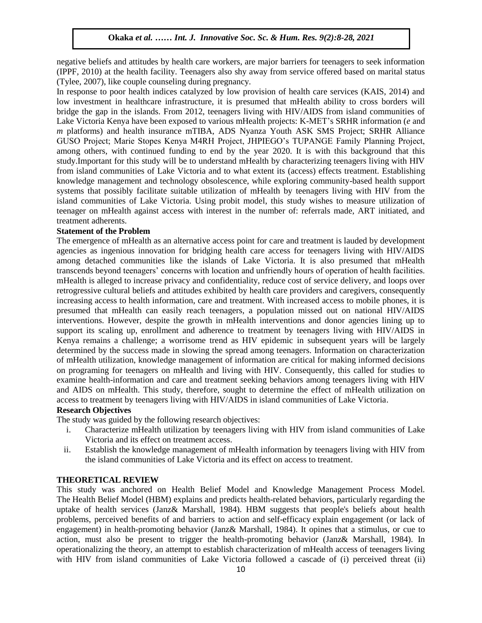negative beliefs and attitudes by health care workers, are major barriers for teenagers to seek information (IPPF, 2010) at the health facility. Teenagers also shy away from service offered based on marital status  $(Tyle, 2007)$ , like couple counseling during pregnancy.

In response to poor health indices catalyzed by low provision of health care services (KAIS, 2014) and low investment in healthcare infrastructure, it is presumed that mHealth ability to cross borders will bridge the gap in the islands. From 2012, teenagers living with HIV/AIDS from island communities of Lake Victoria Kenya have been exposed to various mHealth projects: K-MET's SRHR information (*e* and *m* platforms) and health insurance mTIBA, ADS Nyanza Youth ASK SMS Project; SRHR Alliance GUSO Project; Marie Stopes Kenya M4RH Project, JHPIEGO"s TUPANGE Family Planning Project, among others, with continued funding to end by the year 2020. It is with this background that this study.Important for this study will be to understand mHealth by characterizing teenagers living with HIV from island communities of Lake Victoria and to what extent its (access) effects treatment. Establishing knowledge management and technology obsolescence, while exploring community-based health support systems that possibly facilitate suitable utilization of mHealth by teenagers living with HIV from the island communities of Lake Victoria. Using probit model, this study wishes to measure utilization of teenager on mHealth against access with interest in the number of: referrals made, ART initiated, and treatment adherents.

#### **Statement of the Problem**

The emergence of mHealth as an alternative access point for care and treatment is lauded by development agencies as ingenious innovation for bridging health care access for teenagers living with HIV/AIDS among detached communities like the islands of Lake Victoria. It is also presumed that mHealth transcends beyond teenagers" concerns with location and unfriendly hours of operation of health facilities. mHealth is alleged to increase privacy and confidentiality, reduce cost of service delivery, and loops over retrogressive cultural beliefs and attitudes exhibited by health care providers and caregivers, consequently increasing access to health information, care and treatment. With increased access to mobile phones, it is presumed that mHealth can easily reach teenagers, a population missed out on national HIV/AIDS interventions. However, despite the growth in mHealth interventions and donor agencies lining up to support its scaling up, enrollment and adherence to treatment by teenagers living with HIV/AIDS in Kenya remains a challenge; a worrisome trend as HIV epidemic in subsequent years will be largely determined by the success made in slowing the spread among teenagers. Information on characterization of mHealth utilization, knowledge management of information are critical for making informed decisions on programing for teenagers on mHealth and living with HIV. Consequently, this called for studies to examine health-information and care and treatment seeking behaviors among teenagers living with HIV and AIDS on mHealth. This study, therefore, sought to determine the effect of mHealth utilization on access to treatment by teenagers living with HIV/AIDS in island communities of Lake Victoria.

#### **Research Objectives**

The study was guided by the following research objectives:

- i. Characterize mHealth utilization by teenagers living with HIV from island communities of Lake Victoria and its effect on treatment access.
- ii. Establish the knowledge management of mHealth information by teenagers living with HIV from the island communities of Lake Victoria and its effect on access to treatment.

#### **THEORETICAL REVIEW**

This study was anchored on Health Belief Model and Knowledge Management Process Model. The Health Belief Model (HBM) explains and predicts health-related behaviors, particularly regarding the uptake of health services (Janz& Marshall, 1984). HBM suggests that people's beliefs about health problems, perceived benefits of and barriers to action and self-efficacy explain engagement (or lack of engagement) in health-promoting behavior (Janz& Marshall, 1984). It opines that a stimulus, or cue to action, must also be present to trigger the health-promoting behavior (Janz& Marshall, 1984). In operationalizing the theory, an attempt to establish characterization of mHealth access of teenagers living with HIV from island communities of Lake Victoria followed a cascade of (i) perceived threat (ii)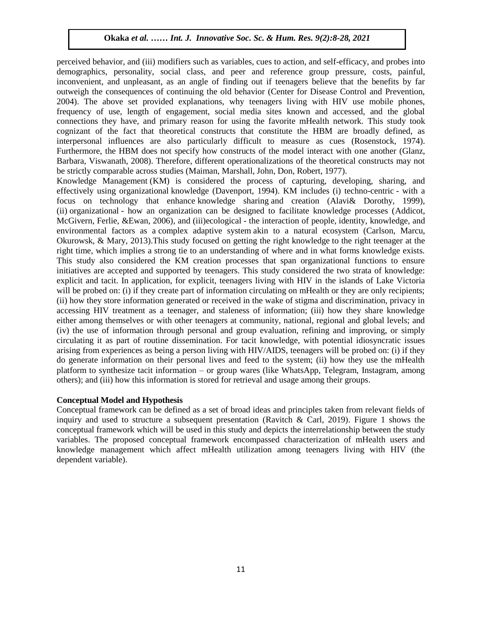perceived behavior, and (iii) modifiers such as variables, cues to action, and self-efficacy, and probes into demographics, personality, social class, and peer and reference group pressure, costs, painful, inconvenient, and unpleasant, as an angle of finding out if teenagers believe that the benefits by far outweigh the consequences of continuing the old behavior (Center for Disease Control and Prevention, 2004). The above set provided explanations, why teenagers living with HIV use mobile phones, frequency of use, length of engagement, social media sites known and accessed, and the global connections they have, and primary reason for using the favorite mHealth network. This study took connections they have, and primary reason for using the favorite mHealth network. This study took cognizant of the fact that theoretical constructs that constitute the HBM are broadly defined, as interpersonal influences are also particularly difficult to measure as cues (Rosenstock, 1974). Furthermore, the HBM does not specify how constructs of the model interact with one another (Glanz, Barbara, Viswanath, 2008). Therefore, different operationalizations of the theoretical constructs may not be strictly comparable across studies (Maiman, Marshall, John, Don, Robert, 1977).

Knowledge Management (KM) is considered the process of capturing, developing, sharing, and effectively using organizational knowledge (Davenport, 1994). KM includes (i) techno-centric - with a focus on technology that enhance knowledge sharing and creation (Alavi $\&$  Dorothy, 1999), (ii) organizational - how an organization can be designed to facilitate knowledge processes (Addicot, McGivern, Ferlie, &Ewan, 2006)*,* and (iii)ecological - the interaction of people, identity, knowledge, and environmental factors as a complex adaptive system akin to a natural ecosystem (Carlson, Marcu, Okurowsk, & Mary, 2013). This study focused on getting the right knowledge to the right teenager at the right time, which implies a strong tie to an understanding of where and in what forms knowledge exists. This study also considered the KM creation processes that span organizational functions to ensure initiatives are accepted and supported by teenagers. This study considered the two strata of knowledge: explicit and tacit. In application, for explicit, teenagers living with HIV in the islands of Lake Victoria will be probed on: (i) if they create part of information circulating on mHealth or they are only recipients; (ii) how they store information generated or received in the wake of stigma and discrimination, privacy in accessing HIV treatment as a teenager, and staleness of information; (iii) how they share knowledge either among themselves or with other teenagers at community, national, regional and global levels; and (iv) the use of information through personal and group evaluation, refining and improving, or simply circulating it as part of routine dissemination. For tacit knowledge, with potential idiosyncratic issues arising from experiences as being a person living with HIV/AIDS, teenagers will be probed on: (i) if they do generate information on their personal lives and feed to the system; (ii) how they use the mHealth platform to synthesize tacit information – or group wares (like WhatsApp, Telegram, Instagram, among others); and (iii) how this information is stored for retrieval and usage among their groups.

# **Conceptual Model and Hypothesis**

Conceptual framework can be defined as a set of broad ideas and principles taken from relevant fields of inquiry and used to structure a subsequent presentation (Ravitch & Carl, 2019). Figure 1 shows the conceptual framework which will be used in this study and depicts the interrelationship between the study variables. The proposed conceptual framework encompassed characterization of mHealth users and knowledge management which affect mHealth utilization among teenagers living with HIV (the dependent variable).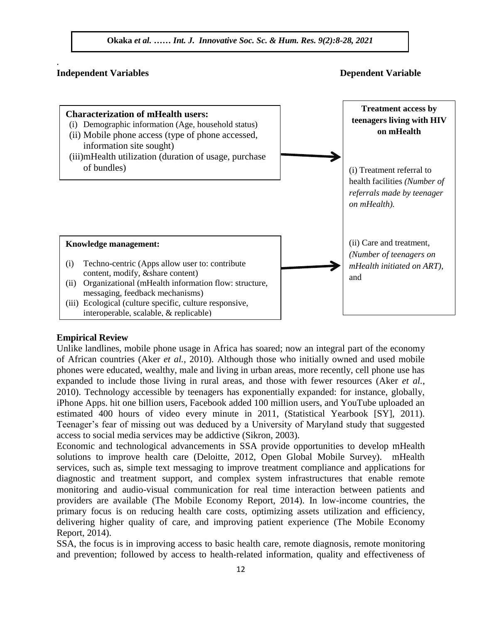

# **Independent Variables Dependent Variable Services**

.



# **Empirical Review**

Unlike landlines, mobile phone usage in Africa has soared; now an integral part of the economy of African countries (Aker *et al.*, 2010). Although those who initially owned and used mobile phones were educated, wealthy, male and living in urban areas, more recently, cell phone use has expanded to include those living in rural areas, and those with fewer resources (Aker *et al.*, 2010). Technology accessible by teenagers has exponentially expanded: for instance, globally, iPhone Apps. hit one billion users, Facebook added 100 million users, and YouTube uploaded an estimated 400 hours of video every minute in 2011, (Statistical Yearbook [SY], 2011). Teenager's fear of missing out was deduced by a University of Maryland study that suggested access to social media services may be addictive (Sikron, 2003).

Economic and technological advancements in SSA provide opportunities to develop mHealth solutions to improve health care (Deloitte, 2012, Open Global Mobile Survey). mHealth services, such as, simple text messaging to improve treatment compliance and applications for diagnostic and treatment support, and complex system infrastructures that enable remote monitoring and audio-visual communication for real time interaction between patients and providers are available (The Mobile Economy Report, 2014). In low-income countries, the primary focus is on reducing health care costs, optimizing assets utilization and efficiency, delivering higher quality of care, and improving patient experience (The Mobile Economy Report, 2014).

SSA, the focus is in improving access to basic health care, remote diagnosis, remote monitoring and prevention; followed by access to health-related information, quality and effectiveness of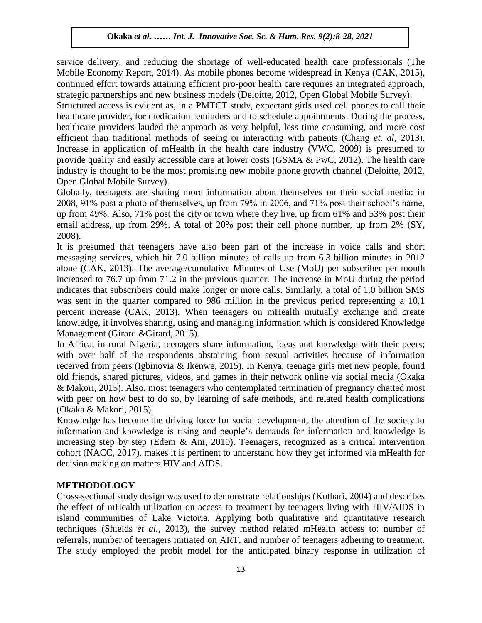service delivery, and reducing the shortage of well-educated health care professionals (The Mobile Economy Report, 2014). As mobile phones become widespread in Kenya (CAK, 2015), continued effort towards attaining efficient pro-poor health care requires an integrated approach, strategic partnerships and new business models (Deloitte, 2012, Open Global Mobile Survey).

Structured access is evident as, in a PMTCT study, expectant girls used cell phones to call their healthcare provider, for medication reminders and to schedule appointments. During the process, healthcare providers lauded the approach as very helpful, less time consuming, and more cost efficient than traditional methods of seeing or interacting with patients (Chang *et. al*, 2013). Increase in application of mHealth in the health care industry (VWC, 2009) is presumed to provide quality and easily accessible care at lower costs (GSMA  $\&$  PwC, 2012). The health care industry is thought to be the most promising new mobile phone growth channel (Deloitte, 2012, Open Global Mobile Survey).

Globally, teenagers are sharing more information about themselves on their social media: in 2008, 91% post a photo of themselves, up from 79% in 2006, and 71% post their school"s name, up from 49%. Also, 71% post the city or town where they live, up from 61% and 53% post their email address, up from 29%. A total of 20% post their cell phone number, up from 2% (SY, 2008). Arugu & Wosu …… Int. J. Innovative Soc. Sc. & Hum. Res. 8(1):1-11, 2020

It is presumed that teenagers have also been part of the increase in voice calls and short messaging services, which hit 7.0 billion minutes of calls up from 6.3 billion minutes in 2012 alone (CAK, 2013). The average/cumulative Minutes of Use (MoU) per subscriber per month increased to 76.7 up from 71.2 in the previous quarter. The increase in MoU during the period indicates that subscribers could make longer or more calls. Similarly, a total of 1.0 billion SMS was sent in the quarter compared to 986 million in the previous period representing a 10.1 percent increase (CAK, 2013). When teenagers on mHealth mutually exchange and create knowledge, it involves sharing, using and managing information which is considered Knowledge Management (Girard &Girard, 2015)*.*

In Africa, in rural Nigeria, teenagers share information, ideas and knowledge with their peers; with over half of the respondents abstaining from sexual activities because of information received from peers (Igbinovia & Ikenwe, 2015). In Kenya, teenage girls met new people, found old friends, shared pictures, videos, and games in their network online via social media (Okaka & Makori, 2015). Also, most teenagers who contemplated termination of pregnancy chatted most with peer on how best to do so, by learning of safe methods, and related health complications (Okaka & Makori, 2015).

Knowledge has become the driving force for social development, the attention of the society to information and knowledge is rising and people"s demands for information and knowledge is increasing step by step (Edem & Ani, 2010). Teenagers, recognized as a critical intervention cohort (NACC, 2017), makes it is pertinent to understand how they get informed via mHealth for decision making on matters HIV and AIDS.

# **METHODOLOGY**

Cross-sectional study design was used to demonstrate relationships (Kothari, 2004) and describes the effect of mHealth utilization on access to treatment by teenagers living with HIV/AIDS in island communities of Lake Victoria. Applying both qualitative and quantitative research techniques (Shields *et al.*, 2013), the survey method related mHealth access to: number of referrals, number of teenagers initiated on ART, and number of teenagers adhering to treatment. The study employed the probit model for the anticipated binary response in utilization of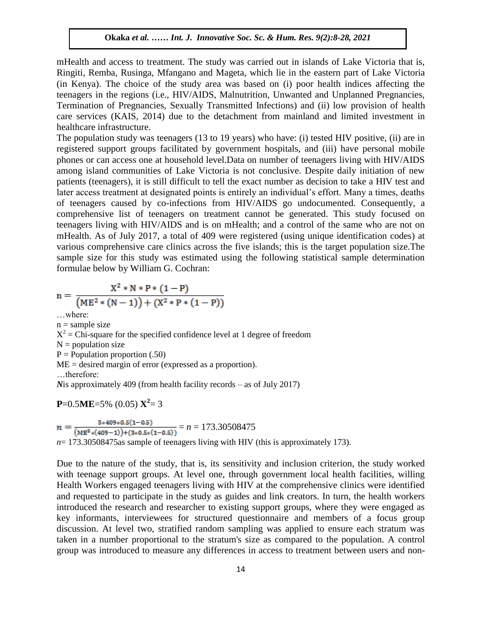mHealth and access to treatment. The study was carried out in islands of Lake Victoria that is, Ringiti, Remba, Rusinga, Mfangano and Mageta, which lie in the eastern part of Lake Victoria (in Kenya). The choice of the study area was based on (i) poor health indices affecting the teenagers in the regions (i.e., HIV/AIDS, Malnutrition, Unwanted and Unplanned Pregnancies, Termination of Pregnancies, Sexually Transmitted Infections) and (ii) low provision of health care services (KAIS, 2014) due to the detachment from mainland and limited investment in healthcare infrastructure.

The population study was teenagers (13 to 19 years) who have: (i) tested HIV positive, (ii) are in registered support groups facilitated by government hospitals, and (iii) have personal mobile phones or can access one at household level. Data on number of teenagers living with HIV/AIDS among island communities of Lake Victoria is not conclusive. Despite daily initiation of new patients (teenagers), it is still difficult to tell the exact number as decision to take a HIV test and later access treatment at designated points is entirely an individual's effort. Many a times, deaths and access it cannot at designated points is entirely an individual serior. Many a times, deaths of teenagers caused by co-infections from HIV/AIDS go undocumented. Consequently, a comprehensive list of teenagers on treatment cannot be generated. This study focused on teenagers living with HIV/AIDS and is on mHealth; and a control of the same who are not on mHealth. As of July 2017, a total of 409 were registered (using unique identification codes) at various comprehensive care clinics across the five islands; this is the target population size.The sample size for this study was estimated using the following statistical sample determination formulae below by William G. Cochran:

$$
n = \frac{X^{2} * N * P * (1 - P)}{(ME^{2} * (N - 1)) + (X^{2} * P * (1 - P))}
$$

…where:

 $n =$ sample size  $X^2$  = Chi-square for the specified confidence level at 1 degree of freedom  $N =$  population size  $P = Population proportion (.50)$ ME = desired margin of error (expressed as a proportion). …therefore: *N*is approximately 409 (from health facility records – as of July 2017) are:<br><u>Internative Soc.</u> Soc. Sc. Box 3(1):1-11, 2020

$$
P=0.5ME=5\% (0.05) X^2=3
$$

 $\frac{3*409*0.5(1-0.5)}{(ME^2*(409-1))+(3*0.5*(1-0.5))} = n = 173.30508475$  $n =$ *n*= 173.30508475as sample of teenagers living with HIV (this is approximately 173).

Due to the nature of the study, that is, its sensitivity and inclusion criterion, the study worked with teenage support groups. At level one, through government local health facilities, willing Health Workers engaged teenagers living with HIV at the comprehensive clinics were identified and requested to participate in the study as guides and link creators. In turn, the health workers introduced the research and researcher to existing support groups, where they were engaged as key informants, interviewees for structured questionnaire and members of a focus group discussion. At level two, stratified random sampling was applied to ensure each stratum was taken in a number proportional to the stratum's size as compared to the population. A control group was introduced to measure any differences in access to treatment between users and non-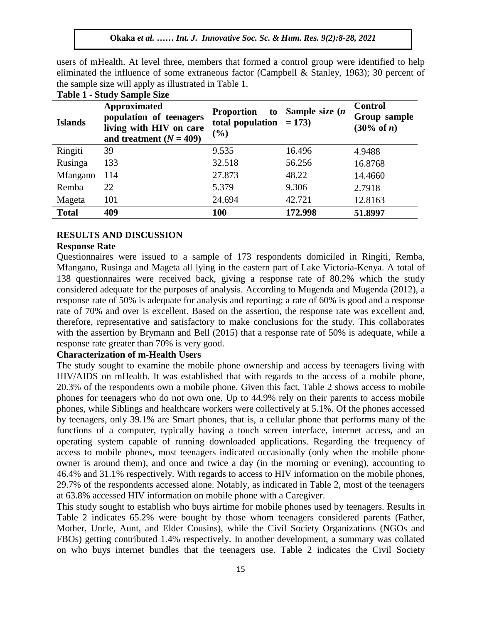users of mHealth. At level three, members that formed a control group were identified to help eliminated the influence of some extraneous factor (Campbell & Stanley, 1963); 30 percent of the seconds signals will english a United States. the sample size will apply as illustrated in Table 1.

| <b>Islands</b>   | Approximated<br>population of teenagers<br>living with HIV on care<br>and treatment $(N = 409)$ | <b>Proportion</b><br>to<br>total population<br>(%) | Sample size $(n)$<br>$= 173$ | <b>Control</b><br>Group sample<br>(30% of n) |
|------------------|-------------------------------------------------------------------------------------------------|----------------------------------------------------|------------------------------|----------------------------------------------|
| Ringiti          | 39                                                                                              | 9.535                                              | 16.496                       | 4.9488                                       |
| Rusinga          | 133                                                                                             | 32.518                                             | 56.256                       | 16.8768                                      |
| <b>M</b> fangano | 114                                                                                             | 27.873                                             | 48.22                        | 14.4660                                      |
| Remba            | 22                                                                                              | 5.379                                              | 9.306                        | 2.7918                                       |
| Mageta           | 101                                                                                             | 24.694                                             | 42.721                       | 12.8163                                      |
| <b>Total</b>     | 409                                                                                             | <b>100</b>                                         | 172.998                      | 51.8997                                      |

#### **Table 1 - Study Sample Size**

# **RESULTS AND DISCUSSION**

#### **Response Rate**

Questionnaires were issued to a sample of 173 respondents domiciled in Ringiti, Remba, Mfangano, Rusinga and Mageta all lying in the eastern part of Lake Victoria-Kenya. A total of 138 questionnaires were received back, giving a response rate of 80.2% which the study considered adequate for the purposes of analysis. According to Mugenda and Mugenda (2012), a response rate of 50% is adequate for analysis and reporting; a rate of 60% is good and a response rate of 70% and over is excellent. Based on the assertion, the response rate was excellent and, therefore, representative and satisfactory to make conclusions for the study. This collaborates with the assertion by Brymann and Bell (2015) that a response rate of 50% is adequate, while a response rate greater than 70% is very good.

# **Characterization of m-Health Users**

The study sought to examine the mobile phone ownership and access by teenagers living with HIV/AIDS on mHealth. It was established that with regards to the access of a mobile phone, 20.3% of the respondents own a mobile phone. Given this fact, Table 2 shows access to mobile phones for teenagers who do not own one. Up to 44.9% rely on their parents to access mobile phones, while Siblings and healthcare workers were collectively at 5.1%. Of the phones accessed by teenagers, only 39.1% are Smart phones, that is, a cellular phone that performs many of the functions of a computer, typically having a touch screen interface, internet access, and an operating system capable of running downloaded applications. Regarding the frequency of access to mobile phones, most teenagers indicated occasionally (only when the mobile phone owner is around them), and once and twice a day (in the morning or evening), accounting to 46.4% and 31.1% respectively. With regards to access to HIV information on the mobile phones, 29.7% of the respondents accessed alone. Notably, as indicated in Table 2, most of the teenagers at 63.8% accessed HIV information on mobile phone with a Caregiver.

This study sought to establish who buys airtime for mobile phones used by teenagers. Results in Table 2 indicates 65.2% were bought by those whom teenagers considered parents (Father, Mother, Uncle, Aunt, and Elder Cousins), while the Civil Society Organizations (NGOs and FBOs) getting contributed 1.4% respectively. In another development, a summary was collated on who buys internet bundles that the teenagers use. Table 2 indicates the Civil Society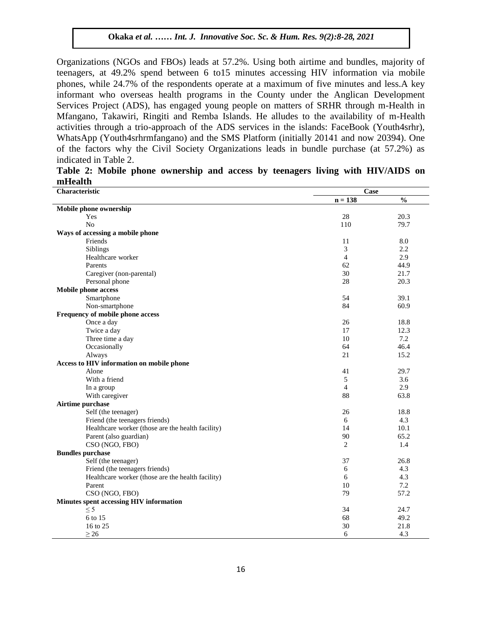Organizations (NGOs and FBOs) leads at 57.2%. Using both airtime and bundles, majority of teenagers, at 49.2% spend between 6 to15 minutes accessing HIV information via mobile phones, while 24.7% of the respondents operate at a maximum of five minutes and less.A key informant who overseas health programs in the County under the Anglican Development Services Project (ADS), has engaged young people on matters of SRHR through m-Health in Mfangano, Takawiri, Ringiti and Remba Islands. He alludes to the availability of m-Health activities through a trio-approach of the ADS services in the islands: FaceBook (Youth4srhr), WhatsApp (Youth4srhrmfangano) and the SMS Platform (initially 20141 and now 20394). One of the factors why the Civil Society Organizations leads in bundle purchase (at 57.2%) as  $indicated in Table 2.$ 

|         |  |  |  |  | Table 2: Mobile phone ownership and access by teenagers living with HIV/AIDS on |  |
|---------|--|--|--|--|---------------------------------------------------------------------------------|--|
| mHealth |  |  |  |  |                                                                                 |  |

| Characteristic                                    | Case           |               |  |  |
|---------------------------------------------------|----------------|---------------|--|--|
|                                                   | $n = 138$      | $\frac{0}{0}$ |  |  |
| Mobile phone ownership                            |                |               |  |  |
| Yes                                               | 28             | 20.3          |  |  |
| N <sub>o</sub>                                    | 110            | 79.7          |  |  |
| Ways of accessing a mobile phone                  |                |               |  |  |
| Friends                                           | 11             | 8.0           |  |  |
| Siblings                                          | 3              | 2.2           |  |  |
| Healthcare worker                                 | 4              | 2.9           |  |  |
| Parents                                           | 62             | 44.9          |  |  |
| Caregiver (non-parental)                          | 30             | 21.7          |  |  |
| Personal phone                                    | 28             | 20.3          |  |  |
| Mobile phone access                               |                |               |  |  |
| Smartphone                                        | 54             | 39.1          |  |  |
| Non-smartphone                                    | 84             | 60.9          |  |  |
| Frequency of mobile phone access                  |                |               |  |  |
| Once a day                                        | 26             | 18.8          |  |  |
| Twice a day                                       | 17             | 12.3          |  |  |
| Three time a day                                  | 10             | 7.2           |  |  |
| Occasionally                                      | 64             | 46.4          |  |  |
| Always                                            | 21             | 15.2          |  |  |
| Access to HIV information on mobile phone         |                |               |  |  |
| Alone                                             | 41             | 29.7          |  |  |
| With a friend                                     | 5              | 3.6           |  |  |
| In a group                                        | 4              | 2.9           |  |  |
| With caregiver                                    | 88             | 63.8          |  |  |
| Airtime purchase                                  |                |               |  |  |
| Self (the teenager)                               | 26             | 18.8          |  |  |
| Friend (the teenagers friends)                    | 6              | 4.3           |  |  |
| Healthcare worker (those are the health facility) | 14             | 10.1          |  |  |
| Parent (also guardian)                            | 90             | 65.2          |  |  |
| CSO (NGO, FBO)                                    | $\overline{2}$ | 1.4           |  |  |
| <b>Bundles</b> purchase                           |                |               |  |  |
| Self (the teenager)                               | 37             | 26.8          |  |  |
| Friend (the teenagers friends)                    | 6              | 4.3           |  |  |
| Healthcare worker (those are the health facility) | 6              | 4.3           |  |  |
| Parent                                            | 10             | 7.2           |  |  |
| CSO (NGO, FBO)                                    | 79             | 57.2          |  |  |
| Minutes spent accessing HIV information           |                |               |  |  |
| $\leq$ 5                                          | 34             | 24.7          |  |  |
| 6 to 15                                           | 68             | 49.2          |  |  |
| 16 to 25                                          | 30             | 21.8          |  |  |
| $\geq$ 26                                         | 6              | 4.3           |  |  |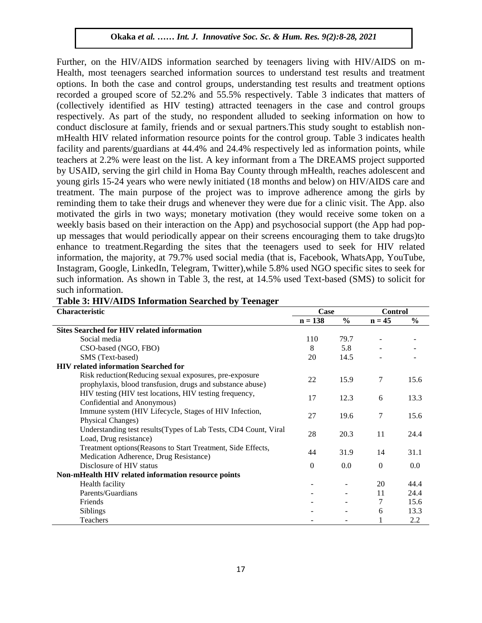Further, on the HIV/AIDS information searched by teenagers living with HIV/AIDS on m-Health, most teenagers searched information sources to understand test results and treatment options. In both the case and control groups, understanding test results and treatment options recorded a grouped score of 52.2% and 55.5% respectively. Table 3 indicates that matters of (collectively identified as HIV testing) attracted teenagers in the case and control groups respectively. As part of the study, no respondent alluded to seeking information on how to conduct disclosure at family, friends and or sexual partners.This study sought to establish nonmHealth HIV related information resource points for the control group. Table 3 indicates health facility and parents/guardians at 44.4% and 24.4% respectively led as information points, while teachers at 2.2% were least on the list. A key informant from a The DREAMS project supported by USAID, serving the girl child in Homa Bay County through mHealth, reaches adolescent and young girls 15-24 years who were newly initiated (18 months and below) on HIV/AIDS care and treatment. The main purpose of the project was to improve adherence among the girls by reminding them to take their drugs and whenever they were due for a clinic visit. The App. also reminding them to take their drugs and whenever they were due for a clinic visit. The App. also motivated the girls in two ways; monetary motivation (they would receive some token on a weekly basis based on their interaction on the App) and psychosocial support (the App had popup messages that would periodically appear on their screens encouraging them to take drugs)to enhance to treatment.Regarding the sites that the teenagers used to seek for HIV related information, the majority, at 79.7% used social media (that is, Facebook, WhatsApp, YouTube, Instagram, Google, LinkedIn, Telegram, Twitter),while 5.8% used NGO specific sites to seek for such information. As shown in Table 3, the rest, at 14.5% used Text-based (SMS) to solicit for such information.

| Characteristic                                                                                                       | Case      |               | <b>Control</b> |               |
|----------------------------------------------------------------------------------------------------------------------|-----------|---------------|----------------|---------------|
|                                                                                                                      | $n = 138$ | $\frac{6}{9}$ | $n = 45$       | $\frac{6}{6}$ |
| <b>Sites Searched for HIV related information</b>                                                                    |           |               |                |               |
| Social media                                                                                                         | 110       | 79.7          |                |               |
| CSO-based (NGO, FBO)                                                                                                 | 8         | 5.8           |                |               |
| SMS (Text-based)                                                                                                     | 20        | 14.5          |                |               |
| <b>HIV</b> related information Searched for                                                                          |           |               |                |               |
| Risk reduction(Reducing sexual exposures, pre-exposure<br>prophylaxis, blood transfusion, drugs and substance abuse) | 22        | 15.9          | 7              | 15.6          |
| HIV testing (HIV test locations, HIV testing frequency,<br>Confidential and Anonymous)                               | 17        | 12.3          | 6              | 13.3          |
| Immune system (HIV Lifecycle, Stages of HIV Infection,<br>Physical Changes)                                          | 27        | 19.6          | 7              | 15.6          |
| Understanding test results (Types of Lab Tests, CD4 Count, Viral<br>Load, Drug resistance)                           | 28        | 20.3          | 11             | 24.4          |
| Treatment options(Reasons to Start Treatment, Side Effects,<br>Medication Adherence, Drug Resistance)                | 44        | 31.9          | 14             | 31.1          |
| Disclosure of HIV status                                                                                             | $\Omega$  | 0.0           | $\Omega$       | $0.0\,$       |
| Non-mHealth HIV related information resource points                                                                  |           |               |                |               |
| Health facility                                                                                                      |           |               | 20             | 44.4          |
| Parents/Guardians                                                                                                    |           |               | 11             | 24.4          |
| Friends                                                                                                              |           |               | 7              | 15.6          |
| <b>Siblings</b>                                                                                                      |           |               | 6              | 13.3          |
| Teachers                                                                                                             |           |               | 1              | 2.2           |

# **Table 3: HIV/AIDS Information Searched by Teenager**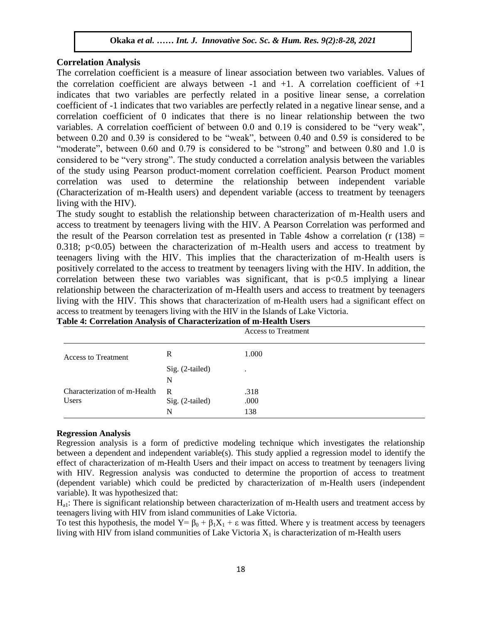# **Correlation Analysis**

The correlation coefficient is a measure of linear association between two variables. Values of the correlation coefficient are always between  $-1$  and  $+1$ . A correlation coefficient of  $+1$ indicates that two variables are perfectly related in a positive linear sense, a correlation coefficient of -1 indicates that two variables are perfectly related in a negative linear sense, and a correlation coefficient of 0 indicates that there is no linear relationship between the two  $\frac{1}{2}$ variables. A correlation coefficient of between 0.0 and 0.19 is considered to be "very weak", between 0.20 and 0.39 is considered to be "weak", between 0.40 and 0.59 is considered to be "moderate", between 0.60 and 0.79 is considered to be "strong" and between 0.80 and 1.0 is considered to be "very strong". The study conducted a correlation analysis between the variables of the study using Pearson product-moment correlation coefficient. Pearson Product moment correlation was used to determine the relationship between independent variable (Characterization of m-Health users) and dependent variable (access to treatment by teenagers  $N = M \cdot M$  with the HIV).

The study sought to establish the relationship between characterization of m-Health users and access to treatment by teenagers living with the HIV. A Pearson Correlation was performed and the result of the Pearson correlation test as presented in Table 4show a correlation (r  $(138)$  = die result of the Fearson correlation test as presented in Table 4show a correlation  $(1 \text{ } (136) - 0.318)$ ; p<0.05) between the characterization of m-Health users and access to treatment by teenagers living with the HIV. This implies that the characterization of m-Health users is positively correlated to the access to treatment by teenagers living with the HIV. In addition, the correlation between these two variables was significant, that is  $p<0.5$  implying a linear relationship between the characterization of m-Health users and access to treatment by teenagers living with the HIV. This shows that characterization of m-Health users had a significant effect on access to treatment by teenagers living with the HIV in the Islands of Lake Victoria.

|                              |                 | <b>Access to Treatment</b> |
|------------------------------|-----------------|----------------------------|
| <b>Access to Treatment</b>   | R               | 1.000                      |
|                              | Sig. (2-tailed) | ٠                          |
|                              | N               |                            |
| Characterization of m-Health | R               | .318                       |
| <b>Users</b>                 | Sig. (2-tailed) | .000                       |
|                              | N               | 138                        |

|  | Table 4: Correlation Analysis of Characterization of m-Health Users |
|--|---------------------------------------------------------------------|

#### **Regression Analysis**

Regression analysis is a form of predictive modeling technique which investigates the relationship between a dependent and independent variable(s). This study applied a regression model to identify the effect of characterization of m-Health Users and their impact on access to treatment by teenagers living with HIV. Regression analysis was conducted to determine the proportion of access to treatment (dependent variable) which could be predicted by characterization of m-Health users (independent variable). It was hypothesized that:

 $H<sub>a1</sub>$ : There is significant relationship between characterization of m-Health users and treatment access by teenagers living with HIV from island communities of Lake Victoria.

To test this hypothesis, the model  $Y = \beta_0 + \beta_1 X_1 + \varepsilon$  was fitted. Where y is treatment access by teenagers living with HIV from island communities of Lake Victoria  $X_1$  is characterization of m-Health users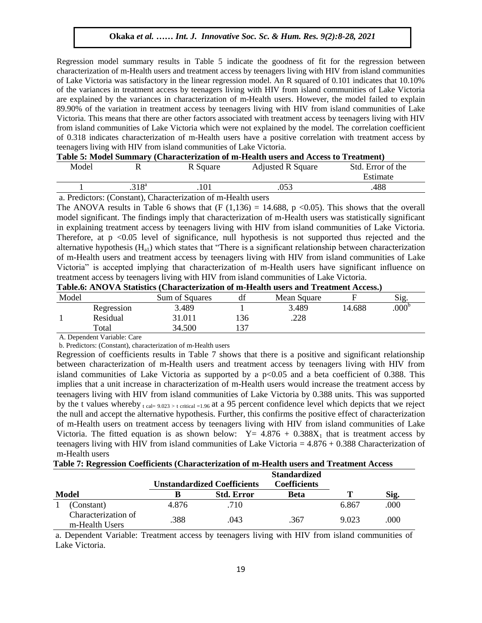Regression model summary results in Table 5 indicate the goodness of fit for the regression between characterization of m-Health users and treatment access by teenagers living with HIV from island communities of Lake Victoria was satisfactory in the linear regression model. An R squared of 0.101 indicates that 10.10% of the variances in treatment access by teenagers living with HIV from island communities of Lake Victoria are explained by the variances in characterization of m-Health users. However, the model failed to explain 89.90% of the variation in treatment access by teenagers living with HIV from island communities of Lake Victoria. This means that there are other factors associated with treatment access by teenagers living with HIV from island communities of Lake Victoria which were not explained by the model. The correlation coefficient of 0.318 indicates characterization of m-Health users have a positive correlation with treatment access by teenagers living with HIV from island communities of Lake Victoria.

| Table 5: Model Summary (Characterization of m-Health users and Access to Treatment) |
|-------------------------------------------------------------------------------------|
|-------------------------------------------------------------------------------------|

| Model |            | R Square | <b>Adjusted R Square</b> | Std. Error of the |
|-------|------------|----------|--------------------------|-------------------|
|       |            |          |                          | Estimate          |
|       | $.318^{a}$ | .101     |                          | .488              |

a. Predictors: (Constant), Characterization of m-Health users

The ANOVA results in Table 6 shows that  $(F (1,136) = 14.688, p < 0.05)$ . This shows that the overall model significant. The findings imply that characterization of m-Health users was statistically significant in explaining treatment access by teenagers living with HIV from island communities of Lake Victoria. Therefore, at  $p \le 0.05$  level of significance, null hypothesis is not supported thus rejected and the alternative hypothesis  $(H<sub>a1</sub>)$  which states that "There is a significant relationship between characterization of m-Health users and treatment access by teenagers living with HIV from island communities of Lake Victoria" is accepted implying that characterization of m-Health users have significant influence on treatment access by teenagers living with HIV from island communities of Lake Victoria.

| Table.6: ANOVA Statistics (Characterization of m-Health users and Treatment Access.) |  |  |  |
|--------------------------------------------------------------------------------------|--|--|--|
|--------------------------------------------------------------------------------------|--|--|--|

| Model |            | Sum of Squares | df  | Mean Square |        | Sig.              |
|-------|------------|----------------|-----|-------------|--------|-------------------|
|       | Regression | 3.489          |     | 3.489       | 14.688 | .000 <sup>b</sup> |
|       | Residual   | 31.011         | !36 | .228        |        |                   |
|       | Total      | 34.500         | 37  |             |        |                   |

A. Dependent Variable: Care

b. Predictors: (Constant), characterization of m-Health users

Regression of coefficients results in Table 7 shows that there is a positive and significant relationship between characterization of m-Health users and treatment access by teenagers living with HIV from island communities of Lake Victoria as supported by a  $p<0.05$  and a beta coefficient of 0.388. This implies that a unit increase in characterization of m-Health users would increase the treatment access by teenagers living with HIV from island communities of Lake Victoria by 0.388 units. This was supported by the t values whereby  $_{t \text{ cal= } 9.023 > t \text{ critical = } 1.96}$  at a 95 percent confidence level which depicts that we reject the null and accept the alternative hypothesis. Further, this confirms the positive effect of characterization of m-Health users on treatment access by teenagers living with HIV from island communities of Lake Victoria. The fitted equation is as shown below:  $Y = 4.876 + 0.388X_1$  that is treatment access by teenagers living with HIV from island communities of Lake Victoria  $= 4.876 + 0.388$  Characterization of m-Health users

**Table 7: Regression Coefficients (Characterization of m-Health users and Treatment Access** 

|                                       |       | <b>Unstandardized Coefficients</b> | <b>Standardized</b><br><b>Coefficients</b> |       |      |
|---------------------------------------|-------|------------------------------------|--------------------------------------------|-------|------|
| <b>Model</b>                          |       | <b>Std. Error</b>                  | <b>Beta</b>                                | Т     | Sig. |
| (Constant)                            | 4.876 | .710                               |                                            | 6.867 | .000 |
| Characterization of<br>m-Health Users | .388  | .043                               | .367                                       | 9.023 | .000 |

a. Dependent Variable: Treatment access by teenagers living with HIV from island communities of Lake Victoria.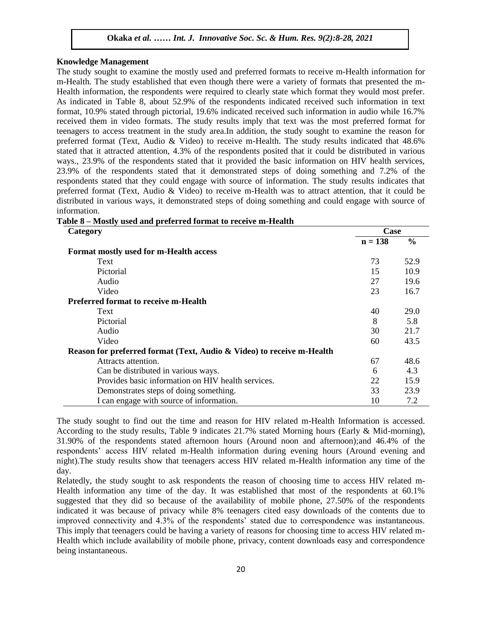#### **Knowledge Management**

The study sought to examine the mostly used and preferred formats to receive m-Health information for m-Health. The study established that even though there were a variety of formats that presented the m-Health. Health information, the respondents were required to clearly state which format they would most prefer. As indicated in Table 8, about 52.9% of the respondents indicated received such information in text format, 10.9% stated through pictorial, 19.6% indicated received such information in audio while 16.7% received them in video formats. The study results imply that text was the most preferred format for received them in video formats. The study results imply that text was the most preferred format for teenagers to access treatment in the study area.In addition, the study sought to examine the reason for preferred format (Text, Audio & Video) to receive m-Health. The study results indicated that 48.6% stated that it attracted attention, 4.3% of the respondents posited that it could be distributed in various ways., 23.9% of the respondents stated that it provided the basic information on HIV health services, 23.9% of the respondents stated that it demonstrated steps of doing something and 7.2% of the respondents stated that they could engage with source of information. The study results indicates that preferred format (Text, Audio & Video) to receive m-Health was to attract attention, that it could be Interactive distributed in various ways, it demonstrated steps of doing something and could engage with source of information.

**Table 8 – Mostly used and preferred format to receive m-Health**

| Category                                                              | Case      |               |
|-----------------------------------------------------------------------|-----------|---------------|
|                                                                       | $n = 138$ | $\frac{6}{6}$ |
| Format mostly used for m-Health access                                |           |               |
| Text                                                                  | 73        | 52.9          |
| Pictorial                                                             | 15        | 10.9          |
| Audio                                                                 | 27        | 19.6          |
| Video                                                                 | 23        | 16.7          |
| <b>Preferred format to receive m-Health</b>                           |           |               |
| Text                                                                  | 40        | 29.0          |
| Pictorial                                                             | 8         | 5.8           |
| Audio                                                                 | 30        | 21.7          |
| Video                                                                 | 60        | 43.5          |
| Reason for preferred format (Text, Audio & Video) to receive m-Health |           |               |
| Attracts attention.                                                   | 67        | 48.6          |
| Can be distributed in various ways.                                   | 6         | 4.3           |
| Provides basic information on HIV health services.                    | 22        | 15.9          |
| Demonstrates steps of doing something.                                | 33        | 23.9          |
| I can engage with source of information.                              | 10        | 7.2           |

The study sought to find out the time and reason for HIV related m-Health Information is accessed. According to the study results, Table 9 indicates 21.7% stated Morning hours (Early & Mid-morning), 31.90% of the respondents stated afternoon hours (Around noon and afternoon);and 46.4% of the respondents" access HIV related m-Health information during evening hours (Around evening and night).The study results show that teenagers access HIV related m-Health information any time of the day.

Relatedly, the study sought to ask respondents the reason of choosing time to access HIV related m-Health information any time of the day. It was established that most of the respondents at 60.1% suggested that they did so because of the availability of mobile phone, 27.50% of the respondents indicated it was because of privacy while 8% teenagers cited easy downloads of the contents due to improved connectivity and 4.3% of the respondents" stated due to correspondence was instantaneous. This imply that teenagers could be having a variety of reasons for choosing time to access HIV related m-Health which include availability of mobile phone, privacy, content downloads easy and correspondence being instantaneous.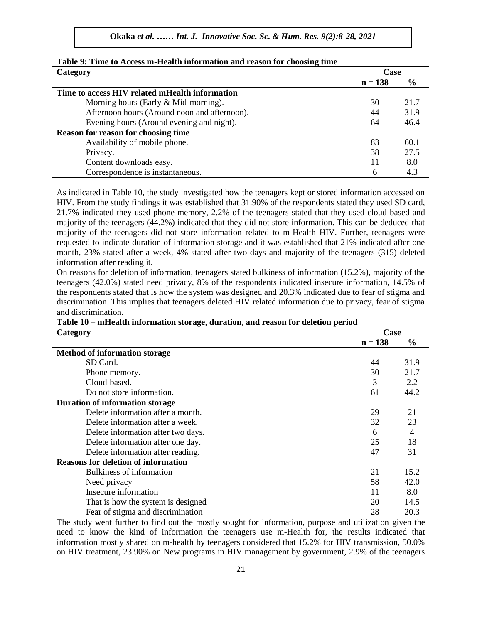| Category                                       | Case      |               |
|------------------------------------------------|-----------|---------------|
|                                                | $n = 138$ | $\frac{0}{0}$ |
| Time to access HIV related mHealth information |           |               |
| Morning hours (Early $& Mid-morning$ ).        | 30        | 21.7          |
| Afternoon hours (Around noon and afternoon).   | 44        | 31.9          |
| Evening hours (Around evening and night).      | 64        | 46.4          |
| <b>Reason for reason for choosing time</b>     |           |               |
| Availability of mobile phone.                  | 83        | 60.1          |
| Privacy.                                       | 38        | 27.5          |
| Content downloads easy.                        | 11        | 8.0           |
| Correspondence is instantaneous.               | 6         | 4.3           |

| Table 9: Time to Access m-Health information and reason for choosing time |  |  |
|---------------------------------------------------------------------------|--|--|
|---------------------------------------------------------------------------|--|--|

As indicated in Table 10, the study investigated how the teenagers kept or stored information accessed on  $WW<sub>1</sub>$ . HIV. From the study findings it was established that 31.90% of the respondents stated they used SD card, 21.7% indicated they used phone memory, 2.2% of the teenagers stated that they used cloud-based and majority of the teenagers (44.2%) indicated that they did not store information. This can be deduced that majority of the teenagers did not store information related to m-Health HIV. Further, teenagers were requested to indicate duration of information storage and it was established that 21% indicated after one month, 23% stated after a week, 4% stated after two days and majority of the teenagers (315) deleted information after reading it.

On reasons for deletion of information, teenagers stated bulkiness of information (15.2%), majority of the On reasons for deterion of information, teenagers stated burkiness of information  $(15.2\%)$ , inajority of the respondents indicated insecure information, 14.5% of the respondents stated that is how the system was designed and 20.3% indicated due to fear of stigma and discrimination. This implies that teenagers deleted HIV related information due to privacy, fear of stigma and discrimination.

| Category                                   | Case      |      |  |
|--------------------------------------------|-----------|------|--|
|                                            | $n = 138$ | $\%$ |  |
| Method of information storage              |           |      |  |
| SD Card.                                   | 44        | 31.9 |  |
| Phone memory.                              | 30        | 21.7 |  |
| Cloud-based.                               | 3         | 2.2  |  |
| Do not store information.                  | 61        | 44.2 |  |
| <b>Duration of information storage</b>     |           |      |  |
| Delete information after a month.          | 29        | 21   |  |
| Delete information after a week.           | 32        | 23   |  |
| Delete information after two days.         | 6         | 4    |  |
| Delete information after one day.          | 25        | 18   |  |
| Delete information after reading.          | 47        | 31   |  |
| <b>Reasons for deletion of information</b> |           |      |  |
| Bulkiness of information                   | 21        | 15.2 |  |
| Need privacy                               | 58        | 42.0 |  |
| Insecure information                       | 11        | 8.0  |  |
| That is how the system is designed         | 20        | 14.5 |  |
| Fear of stigma and discrimination          | 28        | 20.3 |  |

and discrimmation.<br>Table 10 – mHealth information storage, duration, and reason for deletion period

The study went further to find out the mostly sought for information, purpose and utilization given the need to know the kind of information the teenagers use m-Health for, the results indicated that information mostly shared on m-health by teenagers considered that 15.2% for HIV transmission, 50.0% on HIV treatment, 23.90% on New programs in HIV management by government, 2.9% of the teenagers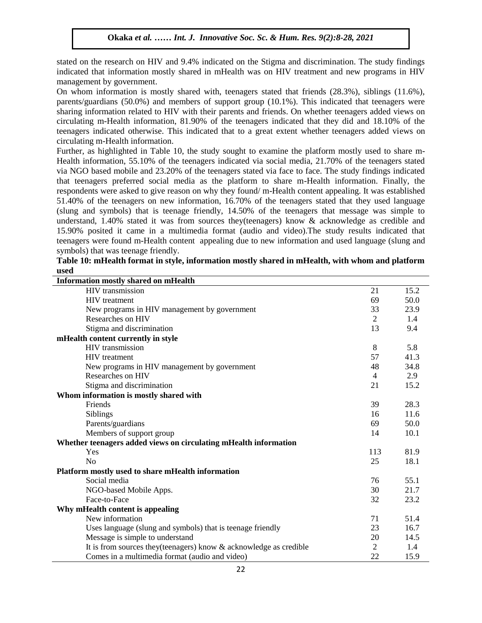stated on the research on HIV and 9.4% indicated on the Stigma and discrimination. The study findings indicated that information mostly shared in mHealth was on HIV treatment and new programs in HIV management by covernment management by government.

On whom information is mostly shared with, teenagers stated that friends (28.3%), siblings (11.6%), parents/guardians (50.0%) and members of support group (10.1%). This indicated that teenagers were sharing information related to HIV with their parents and friends. On whether teenagers added views on extraing information related to THV with their parents and Hendstron whether teenagers added views on circulating m-Health information, 81.90% of the teenagers indicated that they did and 18.10% of the teenagers indicated otherwise. This indicated that to a great extent whether teenagers added views on circulating m-Health information.

Further, as highlighted in Table 10, the study sought to examine the platform mostly used to share m-Health information, 55.10% of the teenagers indicated via social media, 21.70% of the teenagers stated Health via NGO based mobile and 23.20% of the teenagers stated via face to face. The study findings indicated that teenagers preferred social media as the platform to share m-Health information. Finally, the respondents were asked to give reason on why they found/ m-Health content appealing. It was established  $51.40\%$  of the teenagers on new information,  $16.70\%$  of the teenagers stated that they used language (slung and symbols) that is teenage friendly, 14.50% of the teenagers that message was simple to understand, 1.40% stated it was from sources they(teenagers) know & acknowledge as credible and 15.90% posited it came in a multimedia format (audio and video).The study results indicated that teenagers were found m-Health content appealing due to new information and used language (slung and teenagers symbols) that was teenage friendly.

| Table 10: mHealth format in style, information mostly shared in mHealth, with whom and platform |  |
|-------------------------------------------------------------------------------------------------|--|
| used                                                                                            |  |

| <b>Information mostly shared on mHealth</b>                           |                |      |
|-----------------------------------------------------------------------|----------------|------|
| <b>HIV</b> transmission                                               | 21             | 15.2 |
| HIV treatment                                                         | 69             | 50.0 |
| New programs in HIV management by government                          | 33             | 23.9 |
| Researches on HIV                                                     | $\overline{2}$ | 1.4  |
| Stigma and discrimination                                             | 13             | 9.4  |
| mHealth content currently in style                                    |                |      |
| <b>HIV</b> transmission                                               | 8              | 5.8  |
| <b>HIV</b> treatment                                                  | 57             | 41.3 |
| New programs in HIV management by government                          | 48             | 34.8 |
| Researches on HIV                                                     | $\overline{4}$ | 2.9  |
| Stigma and discrimination                                             | 21             | 15.2 |
| Whom information is mostly shared with                                |                |      |
| Friends                                                               | 39             | 28.3 |
| Siblings                                                              | 16             | 11.6 |
| Parents/guardians                                                     | 69             | 50.0 |
| Members of support group                                              | 14             | 10.1 |
| Whether teenagers added views on circulating mHealth information      |                |      |
| Yes                                                                   | 113            | 81.9 |
| N <sub>o</sub>                                                        | 25             | 18.1 |
| Platform mostly used to share mHealth information                     |                |      |
| Social media                                                          | 76             | 55.1 |
| NGO-based Mobile Apps.                                                | 30             | 21.7 |
| Face-to-Face                                                          | 32             | 23.2 |
| Why mHealth content is appealing                                      |                |      |
| New information                                                       | 71             | 51.4 |
| Uses language (slung and symbols) that is teenage friendly            | 23             | 16.7 |
| Message is simple to understand                                       | 20             | 14.5 |
| It is from sources they (teenagers) know $\&$ acknowledge as credible | $\overline{2}$ | 1.4  |
| Comes in a multimedia format (audio and video)                        | 22             | 15.9 |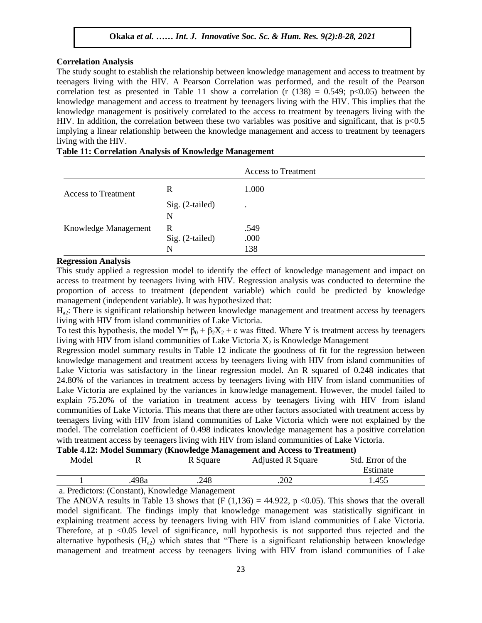#### **Correlation Analysis**

The study sought to establish the relationship between knowledge management and access to treatment by The study sought to establish the relationship between knowledge management and access to treatment by teenagers living with the HIV. A Pearson Correlation was performed, and the result of the Pearson correlation test as presented in Table 11 show a correlation (r  $(138) = 0.549$ ; p<0.05) between the knowledge management and access to treatment by teenagers living with the HIV. This implies that the knowledge management is positively correlated to the access to treatment by teenagers living with the HIV. In addition, the correlation between these two variables was positive and significant, that is  $p<0.5$ implying a linear relationship between the knowledge management and access to treatment by teenagers living with the HIV.

|                            |                 | <b>Access to Treatment</b> |
|----------------------------|-----------------|----------------------------|
| <b>Access to Treatment</b> | R               | 1.000                      |
|                            | Sig. (2-tailed) | $\bullet$                  |
|                            | N               |                            |
| Knowledge Management       | R               | .549                       |
|                            | Sig. (2-tailed) | .000                       |
|                            | N               | 138                        |

# **Table 11: Correlation Analysis of Knowledge Management**

#### **Regression Analysis**

This study applied a regression model to identify the effect of knowledge management and impact on access to treatment by teenagers living with HIV. Regression analysis was conducted to determine the proportion of access to treatment (dependent variable) which could be predicted by knowledge management (independent variable). It was hypothesized that:

 $H<sub>a2</sub>$ : There is significant relationship between knowledge management and treatment access by teenagers 1<sub>42</sub>. There is significant relationship between Knowledge management and deal

To test this hypothesis, the model Y=  $\beta_0 + \beta_2 X_2 + \varepsilon$  was fitted. Where Y is treatment access by teenagers living with HIV from island communities of Lake Victoria  $X_2$  is Knowledge Management

Regression model summary results in Table 12 indicate the goodness of fit for the regression between knowledge management and treatment access by teenagers living with HIV from island communities of Lake Victoria was satisfactory in the linear regression model. An R squared of 0.248 indicates that 24.80% of the variances in treatment access by teenagers living with HIV from island communities of Lake Victoria are explained by the variances in knowledge management. However, the model failed to explain 75.20% of the variation in treatment access by teenagers living with HIV from island communities of Lake Victoria. This means that there are other factors associated with treatment access by teenagers living with HIV from island communities of Lake Victoria which were not explained by the model. The correlation coefficient of 0.498 indicates knowledge management has a positive correlation with treatment access by teenagers living with HIV from island communities of Lake Victoria.

#### **Table 4.12: Model Summary (Knowledge Management and Access to Treatment)**

| Model    |                                          | R Square | <b>Adjusted R Square</b> | Std. Error of the |
|----------|------------------------------------------|----------|--------------------------|-------------------|
|          |                                          |          |                          | Estimate          |
|          | 498a                                     | .248     | .202                     | 1.455             |
| $\cdots$ | $\sim$ $\sim$ $\mathbf{r}$<br>$\sqrt{ }$ |          |                          |                   |

a. Predictors: (Constant), Knowledge Management

The ANOVA results in Table 13 shows that  $(F (1,136) = 44.922, p < 0.05)$ . This shows that the overall model significant. The findings imply that knowledge management was statistically significant in explaining treatment access by teenagers living with HIV from island communities of Lake Victoria. Therefore, at  $p \leq 0.05$  level of significance, null hypothesis is not supported thus rejected and the alternative hypothesis  $(H_{a2})$  which states that "There is a significant relationship between knowledge management and treatment access by teenagers living with HIV from island communities of Lake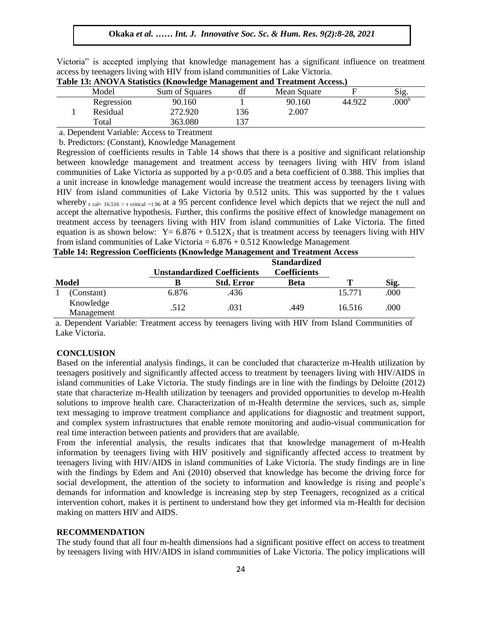| Victoria" is accepted implying that knowledge management has a significant influence on treatment |  |  |  |  |
|---------------------------------------------------------------------------------------------------|--|--|--|--|
| access by teenagers living with HIV from island communities of Lake Victoria.                     |  |  |  |  |

| Sig.             |
|------------------|
| 000 <sup>b</sup> |
|                  |
|                  |
|                  |

#### **Table 13: ANOVA Statistics (Knowledge Management and Treatment Access.)**

a. Dependent Variable: Access to Treatment

b. Predictors: (Constant), Knowledge Management

Regression of coefficients results in Table 14 shows that there is a positive and significant relationship between knowledge management and treatment access by teenagers living with HIV from island communities of Lake Victoria as supported by a p<0.05 and a beta coefficient of 0.388. This implies that a unit increase in knowledge management would increase the treatment access by teenagers living with HIV from island communities of Lake Victoria by 0.512 units. This was supported by the t values whereby  $_{t \text{ cal= } 16.516 > t \text{ critical} = 1.96}$  at a 95 percent confidence level which depicts that we reject the null and accept the alternative hypothesis. Further, this confirms the positive effect of knowledge management on treatment access by teenagers living with HIV from island communities of Lake Victoria. The fitted equation is as shown below:  $Y = 6.876 + 0.512X_2$  that is treatment access by teenagers living with HIV from island communities of Lake Victoria =  $6.876 + 0.512$  Knowledge Management

| Table 14. Regi ession Coemetents (Trio wreige Management and Treatment Access |       |                                    |                     |   |      |
|-------------------------------------------------------------------------------|-------|------------------------------------|---------------------|---|------|
|                                                                               |       |                                    | <b>Standardized</b> |   |      |
|                                                                               |       | <b>Unstandardized Coefficients</b> | <b>Coefficients</b> |   |      |
| <b>Model</b>                                                                  |       | <b>Std. Error</b>                  | Beta                | m | Sig. |
| (Constant)                                                                    | 6.876 | .436                               |                     |   | 000  |

|  | Table 14: Regression Coefficients (Knowledge Management and Treatment Access |
|--|------------------------------------------------------------------------------|
|--|------------------------------------------------------------------------------|

Anowicage 2012.<br>Management 512. 031. A49

a. Dependent Variable: Treatment access by teenagers living with HIV from Island Communities of Lake Victoria.

16.516 .000 .512 .031 .449 .0516 .000<br>Management

#### **CONCLUSION**

Knowledge

Based on the inferential analysis findings, it can be concluded that characterize m-Health utilization by teenagers positively and significantly affected access to treatment by teenagers living with HIV/AIDS in island communities of Lake Victoria. The study findings are in line with the findings by Deloitte (2012) state that characterize m-Health utilization by teenagers and provided opportunities to develop m-Health solutions to improve health care. Characterization of m-Health determine the services, such as, simple text messaging to improve treatment compliance and applications for diagnostic and treatment support, and complex system infrastructures that enable remote monitoring and audio-visual communication for real time interaction between patients and providers that are available.

From the inferential analysis, the results indicates that that knowledge management of m-Health information by teenagers living with HIV positively and significantly affected access to treatment by teenagers living with HIV/AIDS in island communities of Lake Victoria. The study findings are in line with the findings by Edem and Ani (2010) observed that knowledge has become the driving force for social development, the attention of the society to information and knowledge is rising and people's demands for information and knowledge is increasing step by step Teenagers, recognized as a critical intervention cohort, makes it is pertinent to understand how they get informed via m-Health for decision making on matters HIV and AIDS.

#### **RECOMMENDATION**

The study found that all four m-health dimensions had a significant positive effect on access to treatment by teenagers living with HIV/AIDS in island communities of Lake Victoria. The policy implications will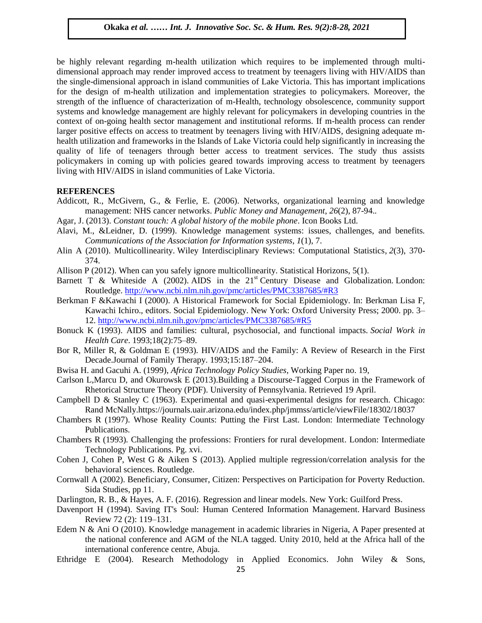be highly relevant regarding m-health utilization which requires to be implemented through multidimensional approach may render improved access to treatment by teenagers living with HIV/AIDS than dimensional approach may render improved access to treatment by teenagers living with HIV/AIDS than the single-dimensional approach in island communities of Lake Victoria. This has important implications for the design of m-health utilization and implementation strategies to policymakers. Moreover, the strength of the influence of characterization of m-Health, technology obsolescence, community support systems and knowledge management are highly relevant for policymakers in developing countries in the systems and knowledge management are highly relevant for policymakers in developing countries in the context of on-going health sector management and institutional reforms. If m-health process can render larger positive effects on access to treatment by teenagers living with HIV/AIDS, designing adequate mhealth utilization and frameworks in the Islands of Lake Victoria could help significantly in increasing the meand annuation and ratheworks in the formats of Early Treatm could nego graniteating in increasing the quality of life of teenagers through better access to treatment services. The study thus assists policymakers in coming up with policies geared towards improving access to treatment by teenagers living with HIV/AIDS in island communities of Lake Victoria.

# **REFERENCES**

- Addicott, R., McGivern, G., & Ferlie, E. (2006). Networks, organizational learning and knowledge management: NHS cancer networks. *Public Money and Management*, *26*(2), 87-94.*.*
- Agar, J. (2013). *Constant touch: A global history of the mobile phone*. Icon Books Ltd.
- Alavi, M., &Leidner, D. (1999). Knowledge management systems: issues, challenges, and benefits. *Communications of the Association for Information systems*, *1*(1), 7.
- Alin A (2010). Multicollinearity. Wiley Interdisciplinary Reviews: Computational Statistics, *2*(3), 370- 374.
- Allison P (2012). When can you safely ignore multicollinearity. Statistical Horizons, 5(1).
- Barnett T & Whiteside A (2002). AIDS in the  $21<sup>st</sup>$  Century Disease and Globalization. London: Routledge.<http://www.ncbi.nlm.nih.gov/pmc/articles/PMC3387685/#R3>
- Berkman F &Kawachi I (2000). A Historical Framework for Social Epidemiology. In: Berkman Lisa F, Kawachi Ichiro., editors. Social Epidemiology. New York: Oxford University Press; 2000. pp. 3– 12.<http://www.ncbi.nlm.nih.gov/pmc/articles/PMC3387685/#R5>
- Bonuck K (1993). AIDS and families: cultural, psychosocial, and functional impacts. *Social Work in Health Care*. 1993;18(2):75–89.
- Bor R, Miller R, & Goldman E (1993). HIV/AIDS and the Family: A Review of Research in the First Decade.Journal of Family Therapy. 1993;15:187–204.
- Bwisa H. and Gacuhi A. (1999), *Africa Technology Policy Studies,* Working Paper no. 19,
- Carlson L,Marcu D, and Okurowsk E (2013).Building a Discourse-Tagged Corpus in the Framework of Rhetorical Structure Theory (PDF). University of Pennsylvania. Retrieved 19 April.
- Campbell D & Stanley C (1963). Experimental and quasi-experimental designs for research. Chicago: Rand McNally.https://journals.uair.arizona.edu/index.php/jmmss/article/viewFile/18302/18037
- Chambers R (1997). Whose Reality Counts: Putting the First Last. London: Intermediate Technology Publications.
- Chambers R (1993)*.* Challenging the professions: Frontiers for rural development. London: Intermediate Technology Publications. Pg. xvi.
- Cohen J, Cohen P, West G & Aiken S (2013). Applied multiple regression/correlation analysis for the behavioral sciences. Routledge.
- Cornwall A (2002). Beneficiary, Consumer, Citizen: Perspectives on Participation for Poverty Reduction. Sida Studies, pp 11.
- Darlington, R. B., & Hayes, A. F. (2016). Regression and linear models. New York: Guilford Press.
- Davenport H (1994). Saving IT's Soul: Human Centered Information Management. Harvard Business Review 72 (2): 119–131.
- Edem N & Ani O (2010). Knowledge management in academic libraries in Nigeria, A Paper presented at the national conference and AGM of the NLA tagged. Unity 2010, held at the Africa hall of the international conference centre, Abuja.
- Ethridge E (2004). Research Methodology in Applied Economics. John Wiley & Sons,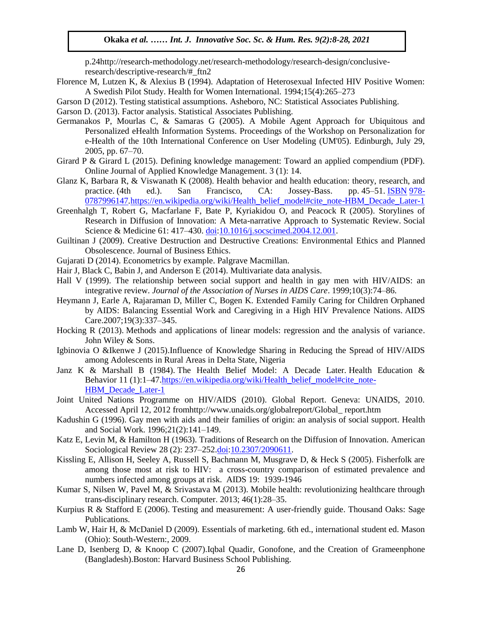p.24http://research-methodology.net/research-methodology/research-design/conclusiveresearch/descriptive-research/#\_ftn2

- Florence M, Lutzen K, & Alexius B (1994). Adaptation of Heterosexual Infected HIV Positive Women: A Swedish Pilot Study. Health for Women International. 1994;15(4):265–273
- Garson D (2012). Testing statistical assumptions. Asheboro, NC: Statistical Associates Publishing.
- Garson D. (2013). Factor analysis. Statistical Associates Publishing.
- Germanakos P, Mourlas C, & Samaras G (2005). A Mobile Agent Approach for Ubiquitous and Personalized eHealth Information Systems. Proceedings of the Workshop on Personalization for e-Health of the 10th International Conference on User Modeling (UM'05). Edinburgh, July 29, 2005, pp. 67–70.
- Girard P & Girard L (2015). Defining knowledge management: Toward an applied compendium (PDF). Online Journal of Applied Knowledge Management. 3 (1): 14.
- Glanz K, Barbara R, & Viswanath K (2008). Health behavior and health education: theory, research, and practice. (4th ed.). San Francisco, CA: Jossey-Bass. pp. 45–51. [ISBN](https://en.wikipedia.org/wiki/International_Standard_Book_Number) [978](https://en.wikipedia.org/wiki/Special:BookSources/978-0787996147) 0787996147.[https://en.wikipedia.org/wiki/Health\\_belief\\_model#cite\\_note-HBM\\_Decade\\_Later-1](https://en.wikipedia.org/wiki/Health_belief_model#cite_note-HBM_Decade_Later-1)
- Greenhalgh T, Robert G, Macfarlane F, Bate P, Kyriakidou O, and Peacock R (2005). Storylines of Research in Diffusion of Innovation: A Meta-narrative Approach to Systematic Review. Social Science & Medicine 61: 417–430. [doi](https://en.wikipedia.org/wiki/Digital_object_identifier)[:10.1016/j.socscimed.2004.12.001.](https://dx.doi.org/10.1016%2Fj.socscimed.2004.12.001)
- Guiltinan J (2009). Creative Destruction and Destructive Creations: Environmental Ethics and Planned Obsolescence. Journal of Business Ethics.
- Gujarati D (2014). Econometrics by example. Palgrave Macmillan.
- Hair J, Black C, Babin J, and Anderson E (2014). Multivariate data analysis.
- Hall V (1999). The relationship between social support and health in gay men with HIV/AIDS: an integrative review. *Journal of the Association of Nurses in AIDS Care*. 1999;10(3):74–86.
- Heymann J, Earle A, Rajaraman D, Miller C, Bogen K. Extended Family Caring for Children Orphaned by AIDS: Balancing Essential Work and Caregiving in a High HIV Prevalence Nations. AIDS  $Care.2007;19(3):337-345.$
- Hocking R (2013). Methods and applications of linear models: regression and the analysis of variance. John Wiley & Sons.
- Igbinovia O &Ikenwe J (2015).Influence of Knowledge Sharing in Reducing the Spread of HIV/AIDS among Adolescents in Rural Areas in Delta State, Nigeria
- Janz K & Marshall B (1984). The Health Belief Model: A Decade Later*.* Health Education & Behavior 11 (1):1–47[.https://en.wikipedia.org/wiki/Health\\_belief\\_model#cite\\_note-](https://en.wikipedia.org/wiki/Health_belief_model#cite_note-HBM_Decade_Later-1)HBM Decade Later-1
- Joint United Nations Programme on HIV/AIDS (2010). Global Report. Geneva: UNAIDS, 2010. Accessed April 12, 2012 fromhttp://www.unaids.org/globalreport/Global\_ report.htm
- Kadushin G (1996). Gay men with aids and their families of origin: an analysis of social support. Health and Social Work. 1996;21(2):141–149.
- Katz E, Levin M, & Hamilton H (1963). Traditions of Research on the Diffusion of Innovation. American Sociological Review 28 (2): 237-25[2.doi](https://en.wikipedia.org/wiki/Digital_object_identifier)[:10.2307/2090611.](https://dx.doi.org/10.2307%2F2090611)
- Kissling E, Allison H, Seeley A, Russell S, Bachmann M, Musgrave D, & Heck S (2005). Fisherfolk are among those most at risk to HIV: a cross-country comparison of estimated prevalence and numbers infected among groups at risk. AIDS 19: 1939-1946
- Kumar S, Nilsen W, Pavel M, & Srivastava M (2013). Mobile health: revolutionizing healthcare through trans-disciplinary research. Computer. 2013; 46(1):28–35.
- Kurpius R & Stafford E (2006). Testing and measurement: A user-friendly guide. Thousand Oaks: Sage Publications.
- Lamb W, Hair H, & McDaniel D (2009). Essentials of marketing. 6th ed., international student ed. Mason (Ohio): South-Western:, 2009.
- Lane D, Isenberg D, & Knoop C (2007).Iqbal Quadir, Gonofone, and the Creation of Grameenphone (Bangladesh).Boston: Harvard Business School Publishing.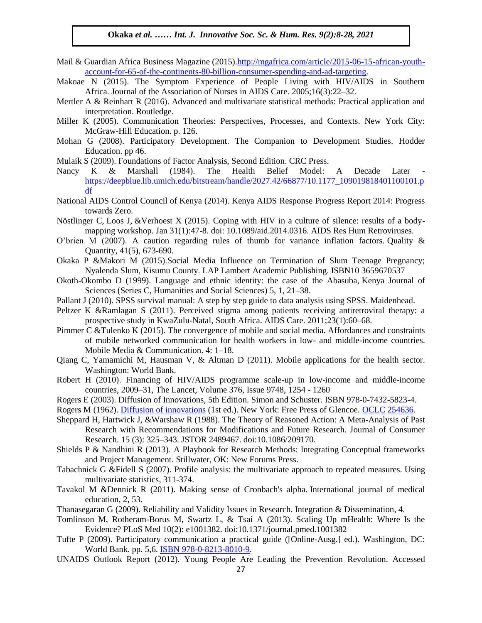- Mail & Guardian Africa Business Magazine (2015)[.http://mgafrica.com/article/2015-06-15-african-youth](http://mgafrica.com/article/2015-06-15-african-youth-account-for-65-of-the-continents-80-billion-consumer-spending-and-ad-targeting)[account-for-65-of-the-continents-80-billion-consumer-spending-and-ad-targeting.](http://mgafrica.com/article/2015-06-15-african-youth-account-for-65-of-the-continents-80-billion-consumer-spending-and-ad-targeting)
- Makoae N (2015). The Symptom Experience of People Living with HIV/AIDS in Southern Africa. Journal of the Association of Nurses in AIDS Care. 2005;16(3):22–32.
- Mertler A & Reinhart R (2016). Advanced and multivariate statistical methods: Practical application and interpretation. Routledge. Arugu extension. Routleage.<br>The Magazine Soc. Sc. Sc. 8(1):1-11, 2020. Sc. 8(1):1-11, 2020. Sc. 8(1):1-11, 2020. Sc. 8(1):1-11, 2020. Sc.
- Miller K (2005). Communication Theories: Perspectives, Processes, and Contexts. New York City: McGraw-Hill Education. p. 126.
- Mohan G (2008). Participatory Development. The Companion to Development Studies. Hodder Education. pp 46.  $\text{Equcaiton. pp 40.}$
- Mulaik S (2009). Foundations of Factor Analysis, Second Edition. CRC Press.
- Nancy K & Marshall (1984). The Health Belief Model: A Decade Later [https://deepblue.lib.umich.edu/bitstream/handle/2027.42/66877/10.1177\\_109019818401100101.p](https://deepblue.lib.umich.edu/bitstream/handle/2027.42/66877/10.1177_109019818401100101.pdf) df [Arug](https://deepblue.lib.umich.edu/bitstream/handle/2027.42/66877/10.1177_109019818401100101.pdf)u & Wosu …… Int. J. Innovative Soc. Sc. & Hum. Res. 8(1):1-11, 2020
- National AIDS Control Council of Kenya (2014). Kenya AIDS Response Progress Report 2014: Progress towards Zero.
- Nöstlinger C, Loos J, &Verhoest X (2015). Coping with HIV in a culture of silence: results of a bodymapping workshop. Jan  $31(1)$ :47-8. doi:  $10.1089/a$ id.2014.0316. AIDS Res Hum Retroviruses.
- O'brien M (2007). A caution regarding rules of thumb for variance inflation factors. Quality  $\&$ Quantity, 41(5), 673-690.
- Okaka P &Makori M (2015).Social Media Influence on Termination of Slum Teenage Pregnancy; Nyalenda Slum, Kisumu County. LAP Lambert Academic Publishing. ISBN10 3659670537
- Okoth-Okombo D (1999). Language and ethnic identity: the case of the Abasuba, Kenya Journal of Sciences (Series C, Humanities and Social Sciences) 5, 1, 21–38.
- Pallant J (2010). SPSS survival manual: A step by step guide to data analysis using SPSS. Maidenhead.
- Peltzer K &Ramlagan S (2011). Perceived stigma among patients receiving antiretroviral therapy: a Perceiving C (2011). The M (1):  $\frac{1}{2}$  and  $\frac{1}{2}$  and  $\frac{1}{2}$  and  $\frac{1}{2}$  and  $\frac{1}{2}$  and  $\frac{1}{2}$  and  $\frac{1}{2}$ prospective study in KwaZulu-Natal, South Africa. AIDS Care. 2011;23(1):60–68.
- Pimmer C &Tulenko K (2015). The convergence of mobile and social media. Affordances and constraints of mobile networked communication for health workers in low- and middle-income countries. Mobile Media & Communication. 4: 1–18.
- Qiang C, Yamamichi M, Hausman V, & Altman D (2011). Mobile applications for the health sector. Washington: World Bank.
- Robert H (2010). Financing of HIV/AIDS programme scale-up in low-income and middle-income countries, 2009–31, The Lancet, Volume 376, Issue 9748, 1254 - 1260
- Rogers E (2003). Diffusion of Innovations, 5th Edition. Simon and Schuster. ISBN 978-0-7432-5823-4.
- Rogers M (1962). [Diffusion of innovations](https://books.google.com/books?id=zw0-AAAAIAAJ) (1st ed.). New York: Free Press of Glencoe. [OCLC](https://en.wikipedia.org/wiki/OCLC) [254636.](https://www.worldcat.org/oclc/254636)
- Sheppard H, Hartwick J, &Warshaw R (1988). The Theory of Reasoned Action: A Meta-Analysis of Past Research with Recommendations for Modifications and Future Research. Journal of Consumer Research. 15 (3): 325–343. JSTOR 2489467. doi:10.1086/209170.
- Shields P & Nandhini R (2013). A Playbook for Research Methods: Integrating Conceptual frameworks and Project Management. Stillwater, OK: New Forums Press.
- Tabachnick G &Fidell S (2007). Profile analysis: the multivariate approach to repeated measures. Using multivariate statistics, 311-374.
- Tavakol M &Dennick R (2011). Making sense of Cronbach's alpha. International journal of medical education, 2, 53.
- Thanasegaran G (2009). Reliability and Validity Issues in Research. Integration & Dissemination, 4.
- Tomlinson M, Rotheram-Borus M, Swartz L, & Tsai A (2013). Scaling Up mHealth: Where Is the Evidence? PLoS Med 10(2): e1001382. doi:10.1371/journal.pmed.1001382
- Tufte P (2009). Participatory communication a practical guide ([Online-Ausg.] ed.). Washington, DC: World Bank. pp. 5,6. **ISBN 978-0-8213-8010-9**.
- UNAIDS Outlook Report (2012). Young People Are Leading the Prevention Revolution. Accessed